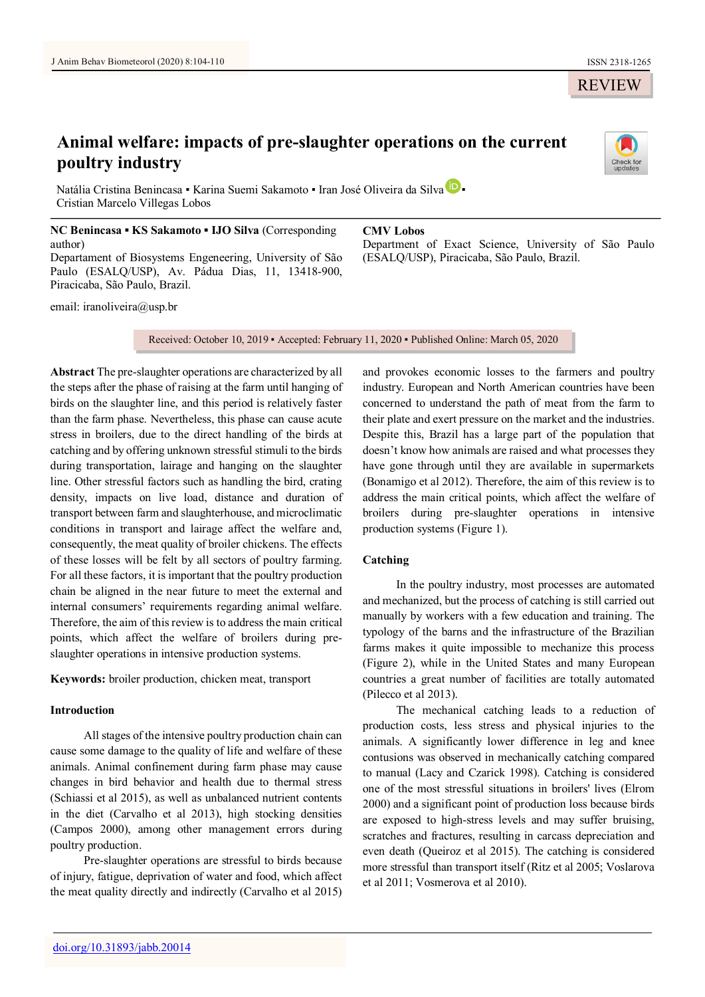# **Animal welfare: impacts of pre-slaughter operations on the current poultry industry**



Natália Cristina Benincasa • Karina Suemi Sakamoto • Iran José Oliveira da Silva D • Cristian Marcelo Villegas Lobos

**NC Benincasa ▪ KS Sakamoto ▪ IJO Silva** (Corresponding author) Departament of Biosystems Engeneering, University of São Paulo (ESALQ/USP), Av. Pádua Dias, 11, 13418-900, Piracicaba, São Paulo, Brazil.

email: [iranoliveira@usp.br](mailto:iranoliveira@usp.br)

**CMV Lobos**

Department of Exact Science, University of São Paulo (ESALQ/USP), Piracicaba, São Paulo, Brazil.

Received: October 10, 2019 ▪ Accepted: February 11, 2020 ▪ Published Online: March 05, 2020

**Abstract** The pre-slaughter operations are characterized by all the steps after the phase of raising at the farm until hanging of birds on the slaughter line, and this period is relatively faster than the farm phase. Nevertheless, this phase can cause acute stress in broilers, due to the direct handling of the birds at catching and by offering unknown stressful stimuli to the birds during transportation, lairage and hanging on the slaughter line. Other stressful factors such as handling the bird, crating density, impacts on live load, distance and duration of transport between farm and slaughterhouse, and microclimatic conditions in transport and lairage affect the welfare and, consequently, the meat quality of broiler chickens. The effects of these losses will be felt by all sectors of poultry farming. For all these factors, it is important that the poultry production chain be aligned in the near future to meet the external and internal consumers' requirements regarding animal welfare. Therefore, the aim of this review is to address the main critical points, which affect the welfare of broilers during preslaughter operations in intensive production systems.

**Keywords:** broiler production, chicken meat, transport

# **Introduction**

All stages of the intensive poultry production chain can cause some damage to the quality of life and welfare of these animals. Animal confinement during farm phase may cause changes in bird behavior and health due to thermal stress (Schiassi et al 2015), as well as unbalanced nutrient contents in the diet (Carvalho et al 2013), high stocking densities (Campos 2000), among other management errors during poultry production.

Pre-slaughter operations are stressful to birds because of injury, fatigue, deprivation of water and food, which affect the meat quality directly and indirectly (Carvalho et al 2015)

and provokes economic losses to the farmers and poultry industry. European and North American countries have been concerned to understand the path of meat from the farm to their plate and exert pressure on the market and the industries. Despite this, Brazil has a large part of the population that doesn't know how animals are raised and what processes they have gone through until they are available in supermarkets (Bonamigo et al 2012). Therefore, the aim of this review is to address the main critical points, which affect the welfare of broilers during pre-slaughter operations in intensive production systems (Figure 1).

# **Catching**

In the poultry industry, most processes are automated and mechanized, but the process of catching is still carried out manually by workers with a few education and training. The typology of the barns and the infrastructure of the Brazilian farms makes it quite impossible to mechanize this process (Figure 2), while in the United States and many European countries a great number of facilities are totally automated (Pilecco et al 2013).

The mechanical catching leads to a reduction of production costs, less stress and physical injuries to the animals. A significantly lower difference in leg and knee contusions was observed in mechanically catching compared to manual (Lacy and Czarick 1998). Catching is considered one of the most stressful situations in broilers' lives (Elrom 2000) and a significant point of production loss because birds are exposed to high-stress levels and may suffer bruising, scratches and fractures, resulting in carcass depreciation and even death (Queiroz et al 2015). The catching is considered more stressful than transport itself (Ritz et al 2005; Voslarova et al 2011; Vosmerova et al 2010).

REVIEW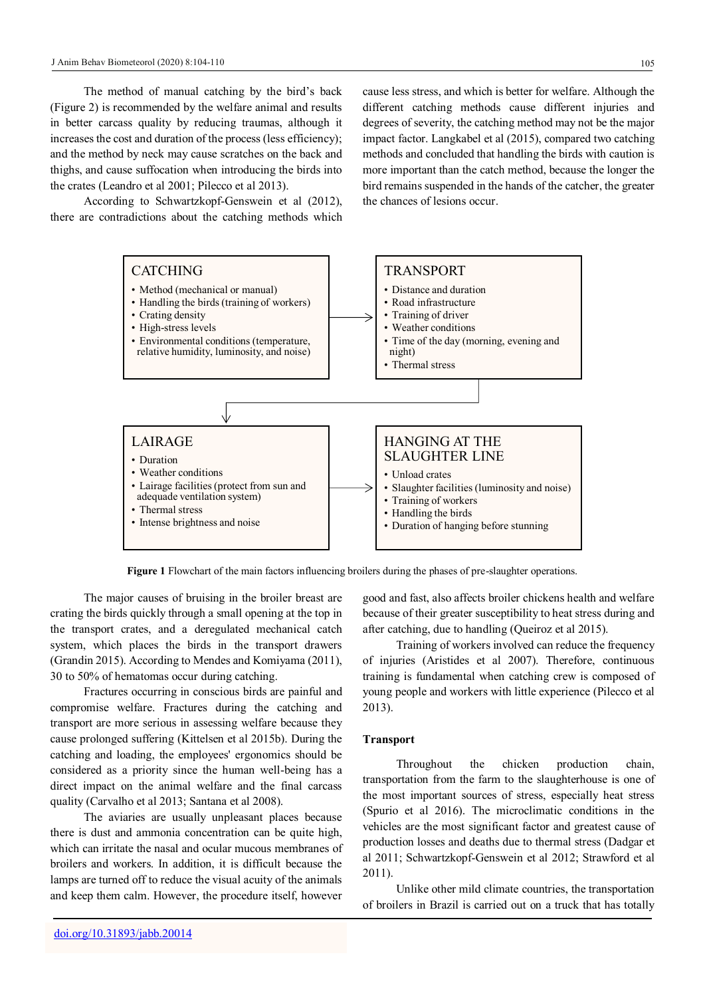The method of manual catching by the bird's back (Figure 2) is recommended by the welfare animal and results in better carcass quality by reducing traumas, although it increases the cost and duration of the process (less efficiency); and the method by neck may cause scratches on the back and thighs, and cause suffocation when introducing the birds into the crates (Leandro et al 2001; Pilecco et al 2013).

According to Schwartzkopf-Genswein et al (2012), there are contradictions about the catching methods which

cause less stress, and which is better for welfare. Although the different catching methods cause different injuries and degrees of severity, the catching method may not be the major impact factor. Langkabel et al (2015), compared two catching methods and concluded that handling the birds with caution is more important than the catch method, because the longer the bird remains suspended in the hands of the catcher, the greater the chances of lesions occur.



**Figure 1** Flowchart of the main factors influencing broilers during the phases of pre-slaughter operations.

The major causes of bruising in the broiler breast are crating the birds quickly through a small opening at the top in the transport crates, and a deregulated mechanical catch system, which places the birds in the transport drawers (Grandin 2015). According to Mendes and Komiyama (2011), 30 to 50% of hematomas occur during catching.

Fractures occurring in conscious birds are painful and compromise welfare. Fractures during the catching and transport are more serious in assessing welfare because they cause prolonged suffering (Kittelsen et al 2015b). During the catching and loading, the employees' ergonomics should be considered as a priority since the human well-being has a direct impact on the animal welfare and the final carcass quality (Carvalho et al 2013; Santana et al 2008).

The aviaries are usually unpleasant places because there is dust and ammonia concentration can be quite high, which can irritate the nasal and ocular mucous membranes of broilers and workers. In addition, it is difficult because the lamps are turned off to reduce the visual acuity of the animals and keep them calm. However, the procedure itself, however

good and fast, also affects broiler chickens health and welfare because of their greater susceptibility to heat stress during and after catching, due to handling (Queiroz et al 2015).

Training of workers involved can reduce the frequency of injuries (Aristides et al 2007). Therefore, continuous training is fundamental when catching crew is composed of young people and workers with little experience (Pilecco et al 2013).

## **Transport**

Throughout the chicken production chain, transportation from the farm to the slaughterhouse is one of the most important sources of stress, especially heat stress (Spurio et al 2016). The microclimatic conditions in the vehicles are the most significant factor and greatest cause of production losses and deaths due to thermal stress (Dadgar et al 2011; Schwartzkopf-Genswein et al 2012; Strawford et al 2011).

Unlike other mild climate countries, the transportation of broilers in Brazil is carried out on a truck that has totally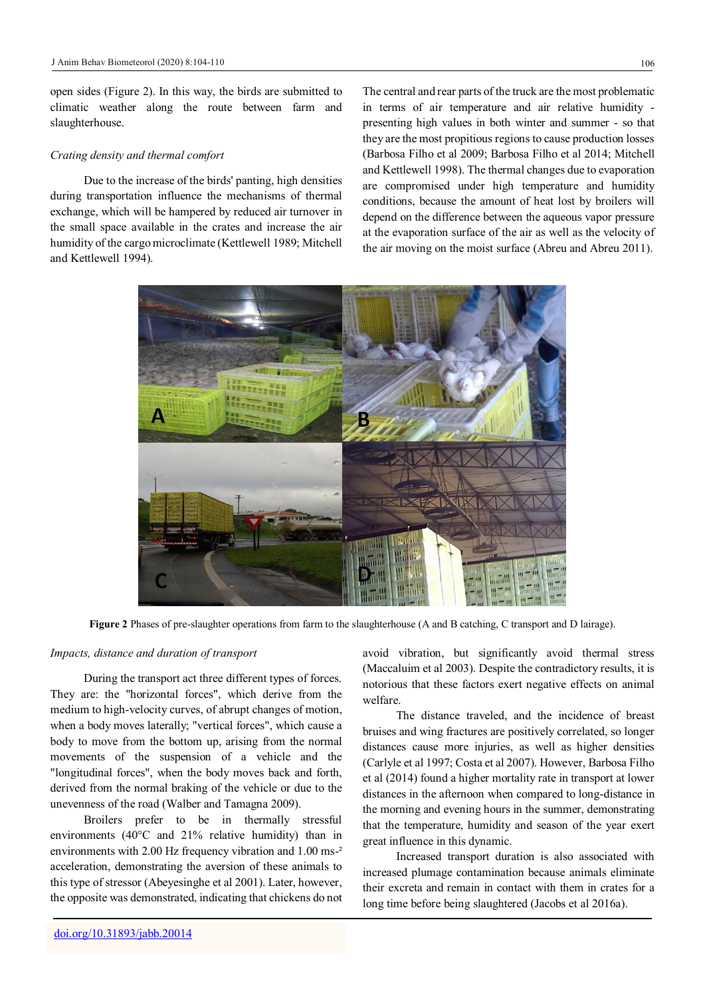open sides (Figure 2). In this way, the birds are submitted to climatic weather along the route between farm and slaughterhouse.

#### *Crating density and thermal comfort*

Due to the increase of the birds' panting, high densities during transportation influence the mechanisms of thermal exchange, which will be hampered by reduced air turnover in the small space available in the crates and increase the air humidity of the cargo microclimate (Kettlewell 1989; Mitchell and Kettlewell 1994).

The central and rear parts of the truck are the most problematic in terms of air temperature and air relative humidity presenting high values in both winter and summer - so that they are the most propitious regions to cause production losses (Barbosa Filho et al 2009; Barbosa Filho et al 2014; Mitchell and Kettlewell 1998). The thermal changes due to evaporation are compromised under high temperature and humidity conditions, because the amount of heat lost by broilers will depend on the difference between the aqueous vapor pressure at the evaporation surface of the air as well as the velocity of the air moving on the moist surface (Abreu and Abreu 2011).



**Figure 2** Phases of pre-slaughter operations from farm to the slaughterhouse (A and B catching, C transport and D lairage).

## *Impacts, distance and duration of transport*

During the transport act three different types of forces. They are: the "horizontal forces", which derive from the medium to high-velocity curves, of abrupt changes of motion, when a body moves laterally; "vertical forces", which cause a body to move from the bottom up, arising from the normal movements of the suspension of a vehicle and the "longitudinal forces", when the body moves back and forth, derived from the normal braking of the vehicle or due to the unevenness of the road (Walber and Tamagna 2009).

Broilers prefer to be in thermally stressful environments (40°C and 21% relative humidity) than in environments with 2.00 Hz frequency vibration and 1.00 ms<sup>-2</sup> acceleration, demonstrating the aversion of these animals to this type of stressor (Abeyesinghe et al 2001). Later, however, the opposite was demonstrated, indicating that chickens do not avoid vibration, but significantly avoid thermal stress (Maccaluim et al 2003). Despite the contradictory results, it is notorious that these factors exert negative effects on animal welfare.

The distance traveled, and the incidence of breast bruises and wing fractures are positively correlated, so longer distances cause more injuries, as well as higher densities (Carlyle et al 1997; Costa et al 2007). However, Barbosa Filho et al (2014) found a higher mortality rate in transport at lower distances in the afternoon when compared to long-distance in the morning and evening hours in the summer, demonstrating that the temperature, humidity and season of the year exert great influence in this dynamic.

Increased transport duration is also associated with increased plumage contamination because animals eliminate their excreta and remain in contact with them in crates for a long time before being slaughtered (Jacobs et al 2016a).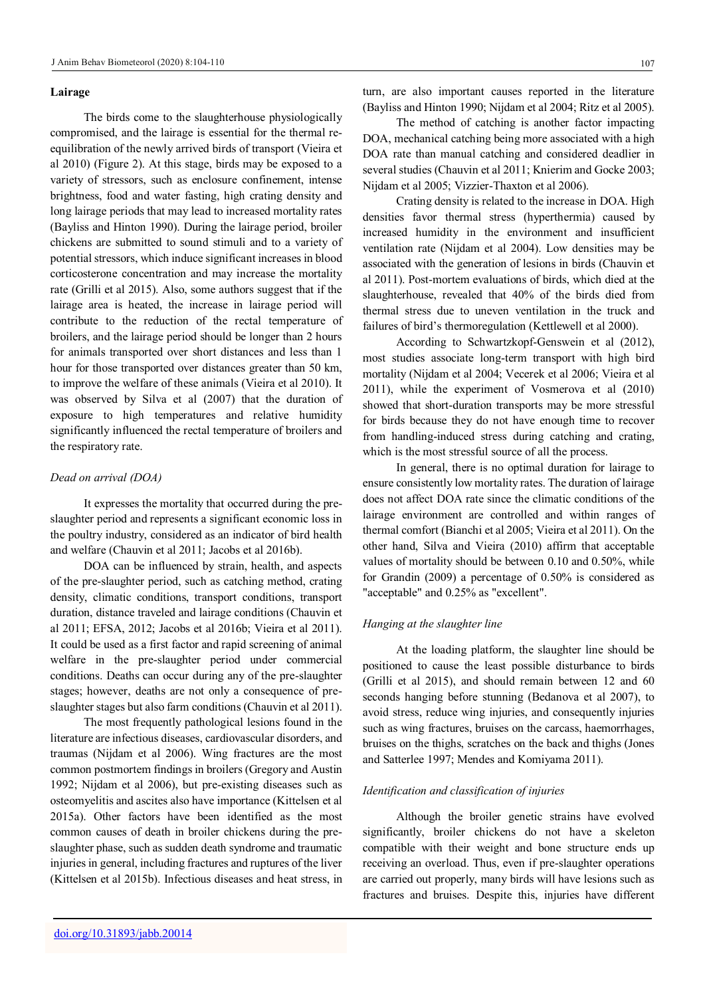#### **Lairage**

The birds come to the slaughterhouse physiologically compromised, and the lairage is essential for the thermal reequilibration of the newly arrived birds of transport (Vieira et al 2010) (Figure 2). At this stage, birds may be exposed to a variety of stressors, such as enclosure confinement, intense brightness, food and water fasting, high crating density and long lairage periods that may lead to increased mortality rates (Bayliss and Hinton 1990). During the lairage period, broiler chickens are submitted to sound stimuli and to a variety of potential stressors, which induce significant increases in blood corticosterone concentration and may increase the mortality rate (Grilli et al 2015). Also, some authors suggest that if the lairage area is heated, the increase in lairage period will contribute to the reduction of the rectal temperature of broilers, and the lairage period should be longer than 2 hours for animals transported over short distances and less than 1 hour for those transported over distances greater than 50 km, to improve the welfare of these animals (Vieira et al 2010). It was observed by Silva et al (2007) that the duration of exposure to high temperatures and relative humidity significantly influenced the rectal temperature of broilers and the respiratory rate.

## *Dead on arrival (DOA)*

It expresses the mortality that occurred during the preslaughter period and represents a significant economic loss in the poultry industry, considered as an indicator of bird health and welfare (Chauvin et al 2011; Jacobs et al 2016b).

DOA can be influenced by strain, health, and aspects of the pre-slaughter period, such as catching method, crating density, climatic conditions, transport conditions, transport duration, distance traveled and lairage conditions (Chauvin et al 2011; EFSA, 2012; Jacobs et al 2016b; Vieira et al 2011). It could be used as a first factor and rapid screening of animal welfare in the pre-slaughter period under commercial conditions. Deaths can occur during any of the pre-slaughter stages; however, deaths are not only a consequence of preslaughter stages but also farm conditions (Chauvin et al 2011).

The most frequently pathological lesions found in the literature are infectious diseases, cardiovascular disorders, and traumas (Nijdam et al 2006). Wing fractures are the most common postmortem findings in broilers (Gregory and Austin 1992; Nijdam et al 2006), but pre-existing diseases such as osteomyelitis and ascites also have importance (Kittelsen et al 2015a). Other factors have been identified as the most common causes of death in broiler chickens during the preslaughter phase, such as sudden death syndrome and traumatic injuries in general, including fractures and ruptures of the liver (Kittelsen et al 2015b). Infectious diseases and heat stress, in

turn, are also important causes reported in the literature (Bayliss and Hinton 1990; Nijdam et al 2004; Ritz et al 2005).

The method of catching is another factor impacting DOA, mechanical catching being more associated with a high DOA rate than manual catching and considered deadlier in several studies (Chauvin et al 2011; Knierim and Gocke 2003; Nijdam et al 2005; Vizzier-Thaxton et al 2006).

Crating density is related to the increase in DOA. High densities favor thermal stress (hyperthermia) caused by increased humidity in the environment and insufficient ventilation rate (Nijdam et al 2004). Low densities may be associated with the generation of lesions in birds (Chauvin et al 2011). Post-mortem evaluations of birds, which died at the slaughterhouse, revealed that 40% of the birds died from thermal stress due to uneven ventilation in the truck and failures of bird's thermoregulation (Kettlewell et al 2000).

According to Schwartzkopf-Genswein et al (2012), most studies associate long-term transport with high bird mortality (Nijdam et al 2004; Vecerek et al 2006; Vieira et al 2011), while the experiment of Vosmerova et al (2010) showed that short-duration transports may be more stressful for birds because they do not have enough time to recover from handling-induced stress during catching and crating, which is the most stressful source of all the process.

In general, there is no optimal duration for lairage to ensure consistently low mortality rates. The duration of lairage does not affect DOA rate since the climatic conditions of the lairage environment are controlled and within ranges of thermal comfort (Bianchi et al 2005; Vieira et al 2011). On the other hand, Silva and Vieira (2010) affirm that acceptable values of mortality should be between 0.10 and 0.50%, while for Grandin (2009) a percentage of 0.50% is considered as "acceptable" and 0.25% as "excellent".

## *Hanging at the slaughter line*

At the loading platform, the slaughter line should be positioned to cause the least possible disturbance to birds (Grilli et al 2015), and should remain between 12 and 60 seconds hanging before stunning (Bedanova et al 2007), to avoid stress, reduce wing injuries, and consequently injuries such as wing fractures, bruises on the carcass, haemorrhages, bruises on the thighs, scratches on the back and thighs (Jones and Satterlee 1997; Mendes and Komiyama 2011).

# *Identification and classification of injuries*

Although the broiler genetic strains have evolved significantly, broiler chickens do not have a skeleton compatible with their weight and bone structure ends up receiving an overload. Thus, even if pre-slaughter operations are carried out properly, many birds will have lesions such as fractures and bruises. Despite this, injuries have different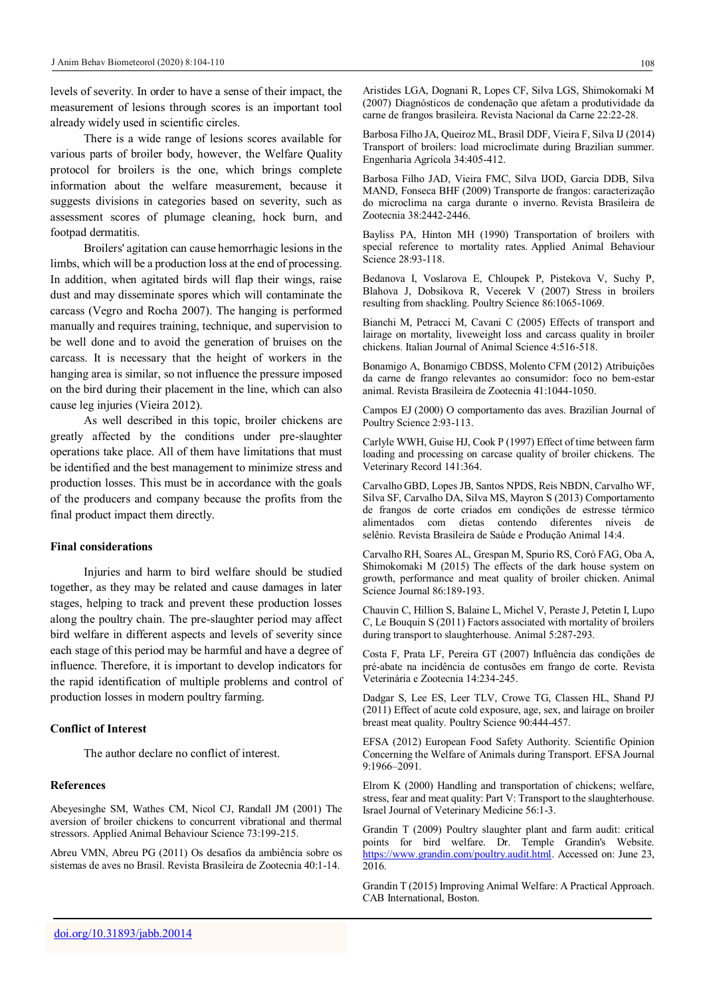levels of severity. In order to have a sense of their impact, the measurement of lesions through scores is an important tool already widely used in scientific circles.

There is a wide range of lesions scores available for various parts of broiler body, however, the Welfare Quality protocol for broilers is the one, which brings complete information about the welfare measurement, because it suggests divisions in categories based on severity, such as assessment scores of plumage cleaning, hock burn, and footpad dermatitis.

Broilers' agitation can cause hemorrhagic lesions in the limbs, which will be a production loss at the end of processing. In addition, when agitated birds will flap their wings, raise dust and may disseminate spores which will contaminate the carcass (Vegro and Rocha 2007). The hanging is performed manually and requires training, technique, and supervision to be well done and to avoid the generation of bruises on the carcass. It is necessary that the height of workers in the hanging area is similar, so not influence the pressure imposed on the bird during their placement in the line, which can also cause leg injuries (Vieira 2012).

As well described in this topic, broiler chickens are greatly affected by the conditions under pre-slaughter operations take place. All of them have limitations that must be identified and the best management to minimize stress and production losses. This must be in accordance with the goals of the producers and company because the profits from the final product impact them directly.

## **Final considerations**

Injuries and harm to bird welfare should be studied together, as they may be related and cause damages in later stages, helping to track and prevent these production losses along the poultry chain. The pre-slaughter period may affect bird welfare in different aspects and levels of severity since each stage of this period may be harmful and have a degree of influence. Therefore, it is important to develop indicators for the rapid identification of multiple problems and control of production losses in modern poultry farming.

## **Conflict of Interest**

The author declare no conflict of interest.

# **References**

Abeyesinghe SM, Wathes CM, Nicol CJ, Randall JM (2001) The aversion of broiler chickens to concurrent vibrational and thermal stressors. Applied Animal Behaviour Science 73:199-215.

Abreu VMN, Abreu PG (2011) Os desafios da ambiência sobre os sistemas de aves no Brasil. Revista Brasileira de Zootecnia 40:1-14.

Aristides LGA, Dognani R, Lopes CF, Silva LGS, Shimokomaki M (2007) Diagnósticos de condenação que afetam a produtividade da carne de frangos brasileira. Revista Nacional da Carne 22:22-28.

Barbosa Filho JA, Queiroz ML, Brasil DDF, Vieira F, Silva IJ (2014) Transport of broilers: load microclimate during Brazilian summer. Engenharia Agrícola 34:405-412.

Barbosa Filho JAD, Vieira FMC, Silva IJOD, Garcia DDB, Silva MAND, Fonseca BHF (2009) Transporte de frangos: caracterização do microclima na carga durante o inverno. Revista Brasileira de Zootecnia 38:2442-2446.

Bayliss PA, Hinton MH (1990) Transportation of broilers with special reference to mortality rates. Applied Animal Behaviour Science 28:93-118.

Bedanova I, Voslarova E, Chloupek P, Pistekova V, Suchy P, Blahova J, Dobsikova R, Vecerek V (2007) Stress in broilers resulting from shackling. Poultry Science 86:1065-1069.

Bianchi M, Petracci M, Cavani C (2005) Effects of transport and lairage on mortality, liveweight loss and carcass quality in broiler chickens. Italian Journal of Animal Science 4:516-518.

Bonamigo A, Bonamigo CBDSS, Molento CFM (2012) Atribuições da carne de frango relevantes ao consumidor: foco no bem-estar animal. Revista Brasileira de Zootecnia 41:1044-1050.

Campos EJ (2000) O comportamento das aves. Brazilian Journal of Poultry Science 2:93-113.

Carlyle WWH, Guise HJ, Cook P (1997) Effect of time between farm loading and processing on carcase quality of broiler chickens. The Veterinary Record 141:364.

Carvalho GBD, Lopes JB, Santos NPDS, Reis NBDN, Carvalho WF, Silva SF, Carvalho DA, Silva MS, Mayron S (2013) Comportamento de frangos de corte criados em condições de estresse térmico alimentados com dietas contendo diferentes níveis de selênio. Revista Brasileira de Saúde e Produção Animal 14:4.

Carvalho RH, Soares AL, Grespan M, Spurio RS, Coró FAG, Oba A, Shimokomaki M (2015) The effects of the dark house system on growth, performance and meat quality of broiler chicken. Animal Science Journal 86:189-193.

Chauvin C, Hillion S, Balaine L, Michel V, Peraste J, Petetin I, Lupo C, Le Bouquin S (2011) Factors associated with mortality of broilers during transport to slaughterhouse. Animal 5:287-293.

Costa F, Prata LF, Pereira GT (2007) Influência das condições de pré-abate na incidência de contusões em frango de corte. Revista Veterinária e Zootecnia 14:234-245.

Dadgar S, Lee ES, Leer TLV, Crowe TG, Classen HL, Shand PJ (2011) Effect of acute cold exposure, age, sex, and lairage on broiler breast meat quality. Poultry Science 90:444-457.

EFSA (2012) European Food Safety Authority. Scientific Opinion Concerning the Welfare of Animals during Transport. EFSA Journal 9:1966–2091.

Elrom K (2000) Handling and transportation of chickens; welfare, stress, fear and meat quality: Part V: Transport to the slaughterhouse. Israel Journal of Veterinary Medicine 56:1-3.

Grandin T (2009) Poultry slaughter plant and farm audit: critical points for bird welfare. Dr. Temple Grandin's Website. [https://www.grandin.com/poultry.audit.html.](https://www.grandin.com/poultry.audit.html) Accessed on: June 23, 2016.

Grandin T (2015) Improving Animal Welfare: A Practical Approach. CAB International, Boston.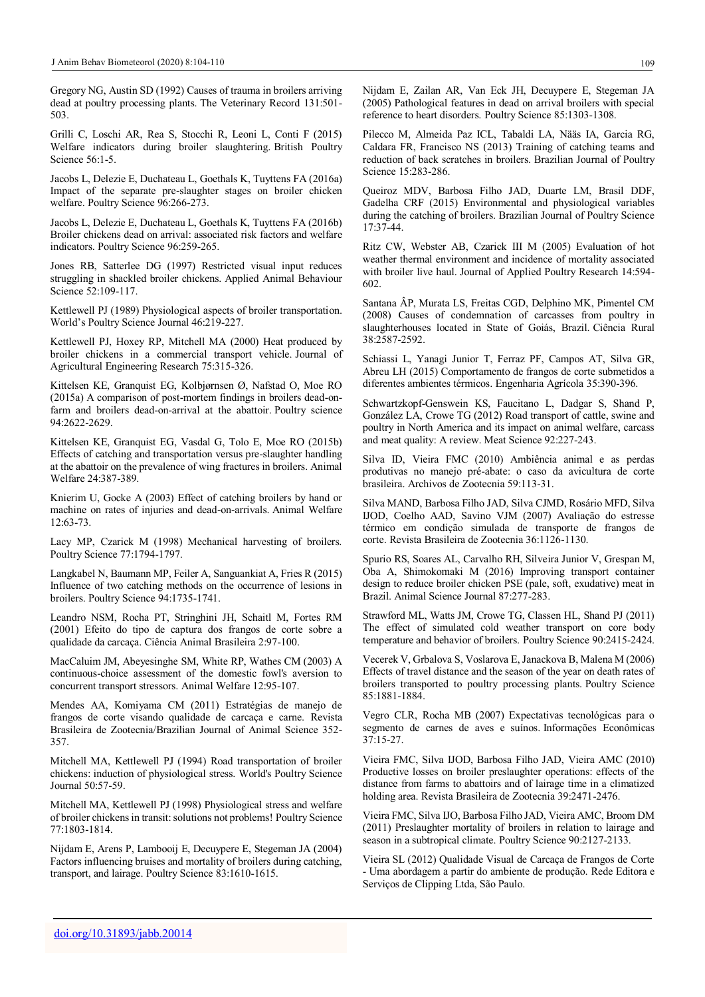Gregory NG, Austin SD (1992) Causes of trauma in broilers arriving dead at poultry processing plants. The Veterinary Record 131:501- 503.

Grilli C, Loschi AR, Rea S, Stocchi R, Leoni L, Conti F (2015) Welfare indicators during broiler slaughtering. British Poultry Science 56:1-5.

Jacobs L, Delezie E, Duchateau L, Goethals K, Tuyttens FA (2016a) Impact of the separate pre-slaughter stages on broiler chicken welfare. Poultry Science 96:266-273.

Jacobs L, Delezie E, Duchateau L, Goethals K, Tuyttens FA (2016b) Broiler chickens dead on arrival: associated risk factors and welfare indicators. Poultry Science 96:259-265.

Jones RB, Satterlee DG (1997) Restricted visual input reduces struggling in shackled broiler chickens. Applied Animal Behaviour Science 52:109-117.

Kettlewell PJ (1989) Physiological aspects of broiler transportation. World's Poultry Science Journal 46:219-227.

Kettlewell PJ, Hoxey RP, Mitchell MA (2000) Heat produced by broiler chickens in a commercial transport vehicle. Journal of Agricultural Engineering Research 75:315-326.

Kittelsen KE, Granquist EG, Kolbjørnsen Ø, Nafstad O, Moe RO (2015a) A comparison of post-mortem findings in broilers dead-onfarm and broilers dead-on-arrival at the abattoir. Poultry science 94:2622-2629.

Kittelsen KE, Granquist EG, Vasdal G, Tolo E, Moe RO (2015b) Effects of catching and transportation versus pre-slaughter handling at the abattoir on the prevalence of wing fractures in broilers. Animal Welfare 24:387-389.

Knierim U, Gocke A (2003) Effect of catching broilers by hand or machine on rates of injuries and dead-on-arrivals. Animal Welfare 12:63-73.

Lacy MP, Czarick M (1998) Mechanical harvesting of broilers. Poultry Science 77:1794-1797.

Langkabel N, Baumann MP, Feiler A, Sanguankiat A, Fries R (2015) Influence of two catching methods on the occurrence of lesions in broilers. Poultry Science 94:1735-1741.

Leandro NSM, Rocha PT, Stringhini JH, Schaitl M, Fortes RM (2001) Efeito do tipo de captura dos frangos de corte sobre a qualidade da carcaça. Ciência Animal Brasileira 2:97-100.

MacCaluim JM, Abeyesinghe SM, White RP, Wathes CM (2003) A continuous-choice assessment of the domestic fowl's aversion to concurrent transport stressors. Animal Welfare 12:95-107.

Mendes AA, Komiyama CM (2011) Estratégias de manejo de frangos de corte visando qualidade de carcaça e carne. Revista Brasileira de Zootecnia/Brazilian Journal of Animal Science 352- 357.

Mitchell MA, Kettlewell PJ (1994) Road transportation of broiler chickens: induction of physiological stress. World's Poultry Science Journal 50:57-59.

Mitchell MA, Kettlewell PJ (1998) Physiological stress and welfare of broiler chickens in transit: solutions not problems! Poultry Science 77:1803-1814.

Nijdam E, Arens P, Lambooij E, Decuypere E, Stegeman JA (2004) Factors influencing bruises and mortality of broilers during catching, transport, and lairage. Poultry Science 83:1610-1615.

Nijdam E, Zailan AR, Van Eck JH, Decuypere E, Stegeman JA (2005) Pathological features in dead on arrival broilers with special reference to heart disorders. Poultry Science 85:1303-1308.

Pilecco M, Almeida Paz ICL, Tabaldi LA, Nääs IA, Garcia RG, Caldara FR, Francisco NS (2013) Training of catching teams and reduction of back scratches in broilers. Brazilian Journal of Poultry Science 15:283-286.

Queiroz MDV, Barbosa Filho JAD, Duarte LM, Brasil DDF, Gadelha CRF (2015) Environmental and physiological variables during the catching of broilers. Brazilian Journal of Poultry Science 17:37-44.

Ritz CW, Webster AB, Czarick III M (2005) Evaluation of hot weather thermal environment and incidence of mortality associated with broiler live haul. Journal of Applied Poultry Research 14:594- 602.

Santana ÂP, Murata LS, Freitas CGD, Delphino MK, Pimentel CM (2008) Causes of condemnation of carcasses from poultry in slaughterhouses located in State of Goiás, Brazil. Ciência Rural 38:2587-2592.

Schiassi L, Yanagi Junior T, Ferraz PF, Campos AT, Silva GR, Abreu LH (2015) Comportamento de frangos de corte submetidos a diferentes ambientes térmicos. Engenharia Agrícola 35:390-396.

Schwartzkopf-Genswein KS, Faucitano L, Dadgar S, Shand P, González LA, Crowe TG (2012) Road transport of cattle, swine and poultry in North America and its impact on animal welfare, carcass and meat quality: A review. Meat Science 92:227-243.

Silva ID, Vieira FMC (2010) Ambiência animal e as perdas produtivas no manejo pré-abate: o caso da avicultura de corte brasileira. Archivos de Zootecnia 59:113-31.

Silva MAND, Barbosa Filho JAD, Silva CJMD, Rosário MFD, Silva IJOD, Coelho AAD, Savino VJM (2007) Avaliação do estresse térmico em condição simulada de transporte de frangos de corte. Revista Brasileira de Zootecnia 36:1126-1130.

Spurio RS, Soares AL, Carvalho RH, Silveira Junior V, Grespan M, Oba A, Shimokomaki M (2016) Improving transport container design to reduce broiler chicken PSE (pale, soft, exudative) meat in Brazil. Animal Science Journal 87:277-283.

Strawford ML, Watts JM, Crowe TG, Classen HL, Shand PJ (2011) The effect of simulated cold weather transport on core body temperature and behavior of broilers. Poultry Science 90:2415-2424.

Vecerek V, Grbalova S, Voslarova E, Janackova B, Malena M (2006) Effects of travel distance and the season of the year on death rates of broilers transported to poultry processing plants. Poultry Science 85:1881-1884.

Vegro CLR, Rocha MB (2007) Expectativas tecnológicas para o segmento de carnes de aves e suínos. Informações Econômicas 37:15-27.

Vieira FMC, Silva IJOD, Barbosa Filho JAD, Vieira AMC (2010) Productive losses on broiler preslaughter operations: effects of the distance from farms to abattoirs and of lairage time in a climatized holding area. Revista Brasileira de Zootecnia 39:2471-2476.

Vieira FMC, Silva IJO, Barbosa Filho JAD, Vieira AMC, Broom DM (2011) Preslaughter mortality of broilers in relation to lairage and season in a subtropical climate. Poultry Science 90:2127-2133.

Vieira SL (2012) Qualidade Visual de Carcaça de Frangos de Corte - Uma abordagem a partir do ambiente de produção. Rede Editora e Serviços de Clipping Ltda, São Paulo.